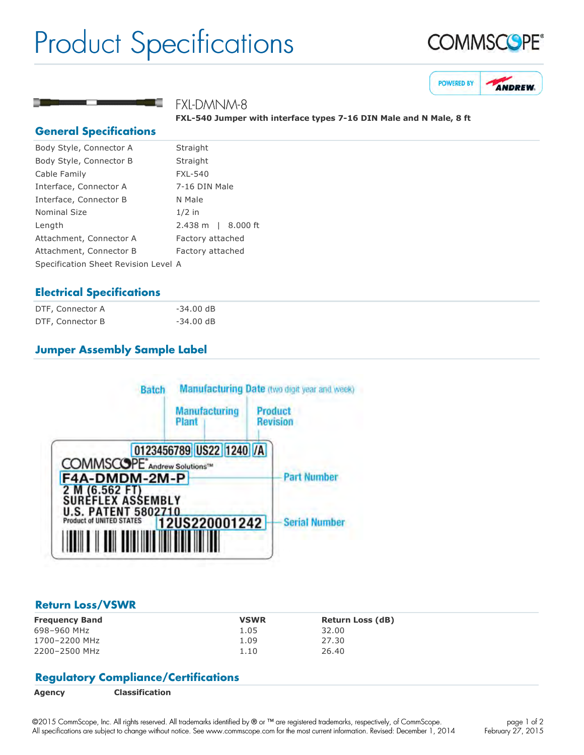# Product Specifications





# FXL-DMNM-8

FXL-540 Jumper with interface types 7-16 DIN Male and N Male, 8 ft

### **General Specifications**

| Body Style, Connector A              | Straight           |  |
|--------------------------------------|--------------------|--|
| Body Style, Connector B              | Straight           |  |
| Cable Family                         | <b>FXL-540</b>     |  |
| Interface, Connector A               | 7-16 DIN Male      |  |
| Interface, Connector B               | N Male             |  |
| Nominal Size                         | $1/2$ in           |  |
| Length                               | 2.438 m   8.000 ft |  |
| Attachment, Connector A              | Factory attached   |  |
| Attachment, Connector B              | Factory attached   |  |
| Specification Sheet Revision Level A |                    |  |
|                                      |                    |  |

## **Electrical Specifications**

| DTF, Connector A | $-34.00$ dB |
|------------------|-------------|
| DTF, Connector B | $-34.00$ dB |

# **Jumper Assembly Sample Label**



#### **Return Loss/VSWR**

| <b>Frequency Band</b> | <b>VSWR</b> | <b>Return Loss (dB)</b> |
|-----------------------|-------------|-------------------------|
| 698-960 MHz           | 1.05        | 32.00                   |
| 1700-2200 MHz         | 1.09        | 27.30                   |
| 2200-2500 MHz         | 1.10        | 26.40                   |

## **Regulatory Compliance/Certifications**

©2015 CommScope, Inc. All rights reserved. All trademarks identified by ® or ™ are registered trademarks, respectively, of CommScope. All specifications are subject to change without notice. See www.commscope.com for the most current information. Revised: December 1, 2014